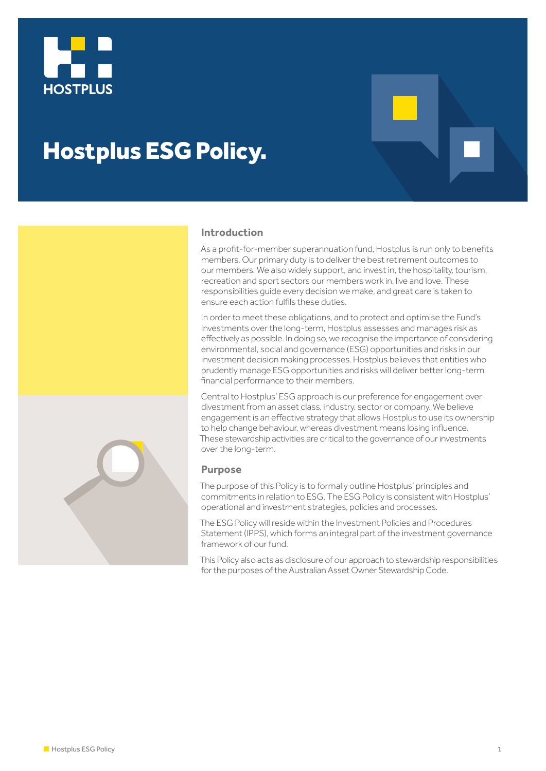

# Hostplus ESG Policy.



# **Introduction**

As a profit-for-member superannuation fund. Hostplus is run only to benefits members. Our primary duty is to deliver the best retirement outcomes to our members. We also widely support, and invest in, the hospitality, tourism, recreation and sport sectors our members work in, live and love. These responsibilities guide every decision we make, and great care is taken to ensure each action fulfils these duties.

In order to meet these obligations, and to protect and optimise the Fund's investments over the long-term, Hostplus assesses and manages risk as effectively as possible. In doing so, we recognise the importance of considering environmental, social and governance (ESG) opportunities and risks in our investment decision making processes. Hostplus believes that entities who prudently manage ESG opportunities and risks will deliver better long-term financial performance to their members.

Central to Hostplus' ESG approach is our preference for engagement over divestment from an asset class, industry, sector or company. We believe engagement is an effective strategy that allows Hostplus to use its ownership to help change behaviour, whereas divestment means losing influence. These stewardship activities are critical to the governance of our investments over the long-term.

#### **Purpose**

The purpose of this Policy is to formally outline Hostplus' principles and commitments in relation to ESG. The ESG Policy is consistent with Hostplus' operational and investment strategies, policies and processes.

The ESG Policy will reside within the Investment Policies and Procedures Statement (IPPS), which forms an integral part of the investment governance framework of our fund.

This Policy also acts as disclosure of our approach to stewardship responsibilities for the purposes of the Australian Asset Owner Stewardship Code.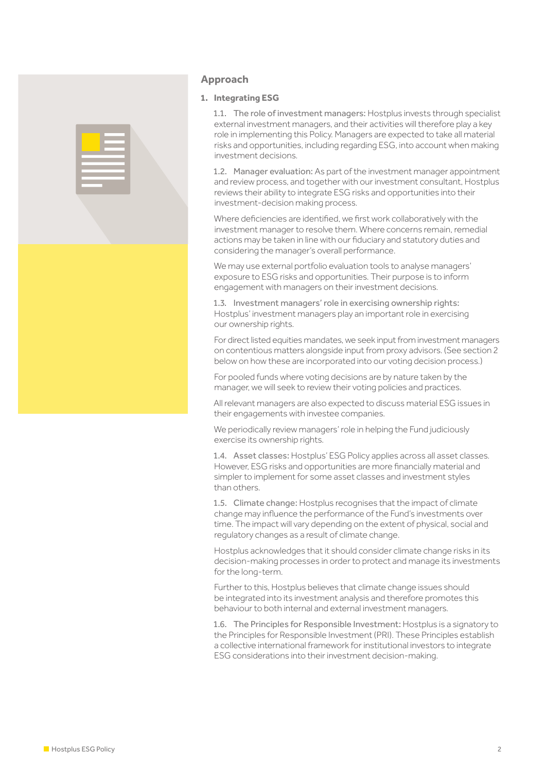

# **Approach**

# **1. Integrating ESG**

1.1. The role of investment managers: Hostplus invests through specialist external investment managers, and their activities will therefore play a key role in implementing this Policy. Managers are expected to take all material risks and opportunities, including regarding ESG, into account when making investment decisions.

1.2. Manager evaluation: As part of the investment manager appointment and review process, and together with our investment consultant, Hostplus reviews their ability to integrate ESG risks and opportunities into their investment-decision making process.

Where deficiencies are identified, we first work collaboratively with the investment manager to resolve them. Where concerns remain, remedial actions may be taken in line with our fiduciary and statutory duties and considering the manager's overall performance.

We may use external portfolio evaluation tools to analyse managers' exposure to ESG risks and opportunities. Their purpose is to inform engagement with managers on their investment decisions.

1.3. Investment managers' role in exercising ownership rights: Hostplus' investment managers play an important role in exercising our ownership rights.

For direct listed equities mandates, we seek input from investment managers on contentious matters alongside input from proxy advisors. (See section 2 below on how these are incorporated into our voting decision process.)

For pooled funds where voting decisions are by nature taken by the manager, we will seek to review their voting policies and practices.

All relevant managers are also expected to discuss material ESG issues in their engagements with investee companies.

We periodically review managers' role in helping the Fund judiciously exercise its ownership rights.

1.4. Asset classes: Hostplus' ESG Policy applies across all asset classes. However, ESG risks and opportunities are more financially material and simpler to implement for some asset classes and investment styles than others.

1.5. Climate change: Hostplus recognises that the impact of climate change may influence the performance of the Fund's investments over time. The impact will vary depending on the extent of physical, social and regulatory changes as a result of climate change.

Hostplus acknowledges that it should consider climate change risks in its decision-making processes in order to protect and manage its investments for the long-term.

Further to this, Hostplus believes that climate change issues should be integrated into its investment analysis and therefore promotes this behaviour to both internal and external investment managers.

1.6. The Principles for Responsible Investment: Hostplus is a signatory to the Principles for Responsible Investment (PRI). These Principles establish a collective international framework for institutional investors to integrate ESG considerations into their investment decision-making.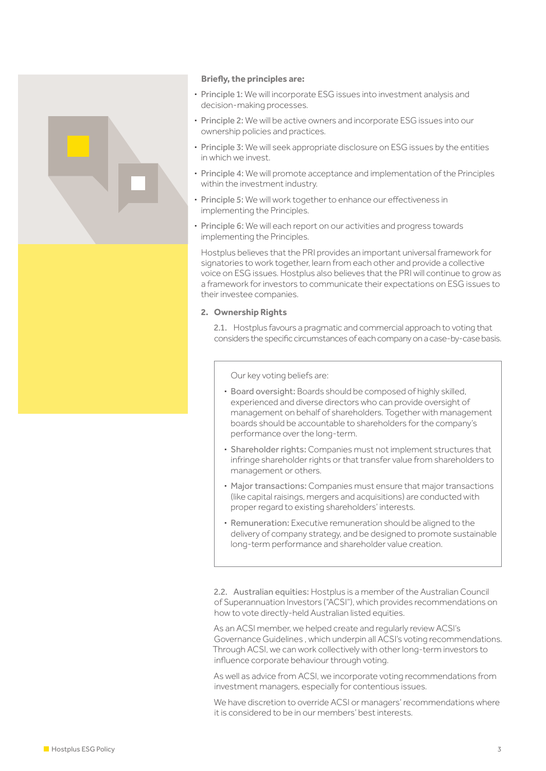

#### **Briefly, the principles are:**

- **·** Principle 1: We will incorporate ESG issues into investment analysis and decision-making processes.
- **·** Principle 2: We will be active owners and incorporate ESG issues into our ownership policies and practices.
- **·** Principle 3: We will seek appropriate disclosure on ESG issues by the entities in which we invest.
- **·** Principle 4: We will promote acceptance and implementation of the Principles within the investment industry.
- Principle 5: We will work together to enhance our effectiveness in implementing the Principles.
- **·** Principle 6: We will each report on our activities and progress towards implementing the Principles.

Hostplus believes that the PRI provides an important universal framework for signatories to work together, learn from each other and provide a collective voice on ESG issues. Hostplus also believes that the PRI will continue to grow as a framework for investors to communicate their expectations on ESG issues to their investee companies.

### **2. Ownership Rights**

2.1. Hostplus favours a pragmatic and commercial approach to voting that considers the specific circumstances of each company on a case-by-case basis.

Our key voting beliefs are:

- **·** Board oversight: Boards should be composed of highly skilled, experienced and diverse directors who can provide oversight of management on behalf of shareholders. Together with management boards should be accountable to shareholders for the company's performance over the long-term.
- **·** Shareholder rights: Companies must not implement structures that infringe shareholder rights or that transfer value from shareholders to management or others.
- **·** Major transactions: Companies must ensure that major transactions (like capital raisings, mergers and acquisitions) are conducted with proper regard to existing shareholders' interests.
- **·** Remuneration: Executive remuneration should be aligned to the delivery of company strategy, and be designed to promote sustainable long-term performance and shareholder value creation.

2.2. Australian equities: Hostplus is a member of the Australian Council of Superannuation Investors ("ACSI"), which provides recommendations on how to vote directly-held Australian listed equities.

As an ACSI member, we helped create and regularly review ACSI's Governance Guidelines , which underpin all ACSI's voting recommendations. Through ACSI, we can work collectively with other long-term investors to influence corporate behaviour through voting.

As well as advice from ACSI, we incorporate voting recommendations from investment managers, especially for contentious issues.

We have discretion to override ACSI or managers' recommendations where it is considered to be in our members' best interests.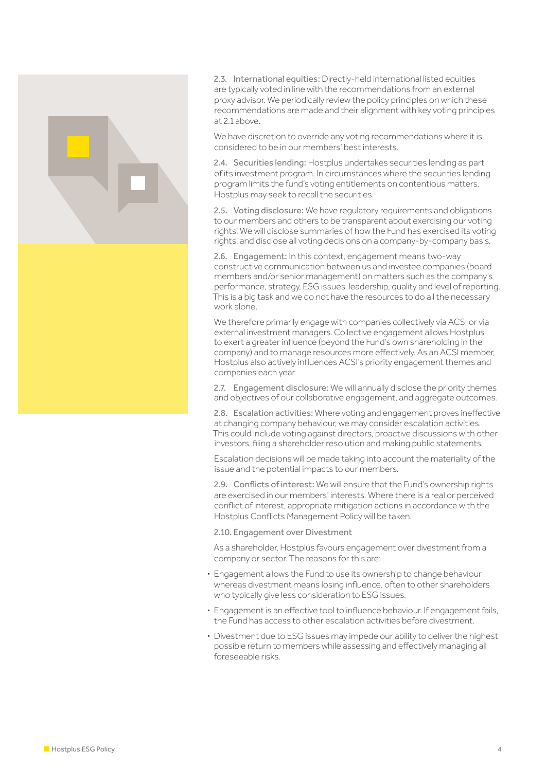

2.3. International equities: Directly-held international listed equities are typically voted in line with the recommendations from an external proxy advisor. We periodically review the policy principles on which these recommendations are made and their alignment with key voting principles at 2.1 above.

We have discretion to override any voting recommendations where it is considered to be in our members' best interests.

2.4. Securities lending: Hostplus undertakes securities lending as part of its investment program. In circumstances where the securities lending program limits the fund's voting entitlements on contentious matters, Hostplus may seek to recall the securities.

2.5. Voting disclosure: We have regulatory requirements and obligations to our members and others to be transparent about exercising our voting rights. We will disclose summaries of how the Fund has exercised its voting rights, and disclose all voting decisions on a company-by-company basis.

2.6. Engagement: In this context, engagement means two-way constructive communication between us and investee companies (board members and/or senior management) on matters such as the company's performance, strategy, ESG issues, leadership, quality and level of reporting. This is a big task and we do not have the resources to do all the necessary work alone.

We therefore primarily engage with companies collectively via ACSI or via external investment managers. Collective engagement allows Hostplus to exert a greater influence (beyond the Fund's own shareholding in the company) and to manage resources more effectively. As an ACSI member, Hostplus also actively influences ACSI's priority engagement themes and companies each year.

2.7. Engagement disclosure: We will annually disclose the priority themes and objectives of our collaborative engagement, and aggregate outcomes.

2.8. Escalation activities: Where voting and engagement proves ineffective at changing company behaviour, we may consider escalation activities. This could include voting against directors, proactive discussions with other investors, filing a shareholder resolution and making public statements.

Escalation decisions will be made taking into account the materiality of the issue and the potential impacts to our members.

2.9. Conflicts of interest: We will ensure that the Fund's ownership rights are exercised in our members' interests. Where there is a real or perceived conflict of interest, appropriate mitigation actions in accordance with the Hostplus Conflicts Management Policy will be taken.

2.10. Engagement over Divestment

As a shareholder, Hostplus favours engagement over divestment from a company or sector. The reasons for this are:

- **·** Engagement allows the Fund to use its ownership to change behaviour whereas divestment means losing influence, often to other shareholders who typically give less consideration to ESG issues.
- Engagement is an effective tool to influence behaviour. If engagement fails, the Fund has access to other escalation activities before divestment.
- **·** Divestment due to ESG issues may impede our ability to deliver the highest possible return to members while assessing and effectively managing all foreseeable risks.